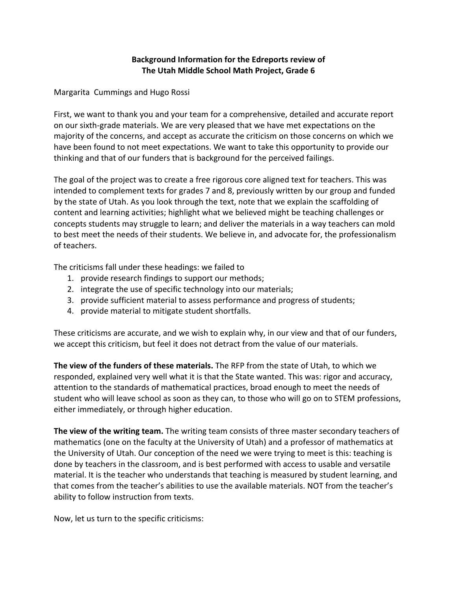## **Background Information for the Edreports review of The Utah Middle School Math Project, Grade 6**

Margarita Cummings and Hugo Rossi

First, we want to thank you and your team for a comprehensive, detailed and accurate report on our sixth-grade materials. We are very pleased that we have met expectations on the majority of the concerns, and accept as accurate the criticism on those concerns on which we have been found to not meet expectations. We want to take this opportunity to provide our thinking and that of our funders that is background for the perceived failings.

The goal of the project was to create a free rigorous core aligned text for teachers. This was intended to complement texts for grades 7 and 8, previously written by our group and funded by the state of Utah. As you look through the text, note that we explain the scaffolding of content and learning activities; highlight what we believed might be teaching challenges or concepts students may struggle to learn; and deliver the materials in a way teachers can mold to best meet the needs of their students. We believe in, and advocate for, the professionalism of teachers.

The criticisms fall under these headings: we failed to

- 1. provide research findings to support our methods;
- 2. integrate the use of specific technology into our materials;
- 3. provide sufficient material to assess performance and progress of students;
- 4. provide material to mitigate student shortfalls.

These criticisms are accurate, and we wish to explain why, in our view and that of our funders, we accept this criticism, but feel it does not detract from the value of our materials.

**The view of the funders of these materials.** The RFP from the state of Utah, to which we responded, explained very well what it is that the State wanted. This was: rigor and accuracy, attention to the standards of mathematical practices, broad enough to meet the needs of student who will leave school as soon as they can, to those who will go on to STEM professions, either immediately, or through higher education.

**The view of the writing team.** The writing team consists of three master secondary teachers of mathematics (one on the faculty at the University of Utah) and a professor of mathematics at the University of Utah. Our conception of the need we were trying to meet is this: teaching is done by teachers in the classroom, and is best performed with access to usable and versatile material. It is the teacher who understands that teaching is measured by student learning, and that comes from the teacher's abilities to use the available materials. NOT from the teacher's ability to follow instruction from texts.

Now, let us turn to the specific criticisms: